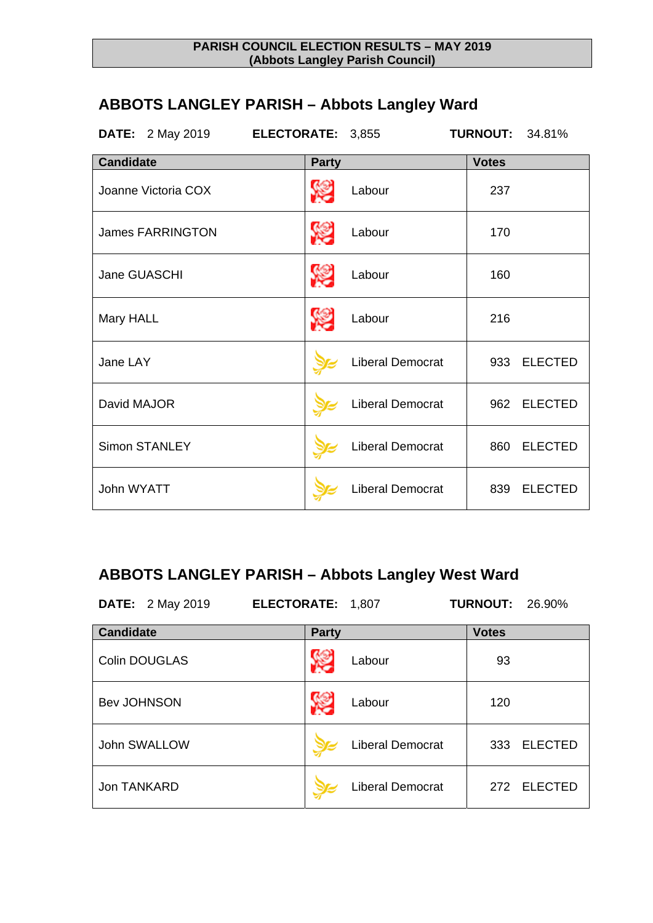# **ABBOTS LANGLEY PARISH – Abbots Langley Ward**

| <b>DATE:</b> 2 May 2019<br>ELECTORATE: 3,855 |              |                         | <b>TURNOUT:</b> | 34.81%         |
|----------------------------------------------|--------------|-------------------------|-----------------|----------------|
| <b>Candidate</b>                             | <b>Party</b> |                         | <b>Votes</b>    |                |
| Joanne Victoria COX                          | <b>SEP</b>   | Labour                  | 237             |                |
| <b>James FARRINGTON</b>                      | <b>SEP</b>   | Labour                  | 170             |                |
| Jane GUASCHI                                 | <b>SEP</b>   | Labour                  | 160             |                |
| Mary HALL                                    | <b>SEP</b>   | Labour                  | 216             |                |
| Jane LAY                                     |              | <b>Liberal Democrat</b> |                 | 933 ELECTED    |
| David MAJOR                                  |              | <b>Liberal Democrat</b> | 962             | <b>ELECTED</b> |
| <b>Simon STANLEY</b>                         |              | <b>Liberal Democrat</b> | 860             | <b>ELECTED</b> |
| John WYATT                                   |              | <b>Liberal Democrat</b> | 839             | <b>ELECTED</b> |

## **ABBOTS LANGLEY PARISH – Abbots Langley West Ward**

| <b>DATE:</b> 2 May 2019 | ELECTORATE: 1,807 |                         | <b>TURNOUT: 26.90%</b> |                |
|-------------------------|-------------------|-------------------------|------------------------|----------------|
| <b>Candidate</b>        | <b>Party</b>      |                         | <b>Votes</b>           |                |
| <b>Colin DOUGLAS</b>    |                   | Labour                  | 93                     |                |
| <b>Bev JOHNSON</b>      |                   | Labour                  | 120                    |                |
| John SWALLOW            |                   | <b>Liberal Democrat</b> | 333                    | <b>ELECTED</b> |
| <b>Jon TANKARD</b>      |                   | <b>Liberal Democrat</b> | 272                    | <b>ELECTED</b> |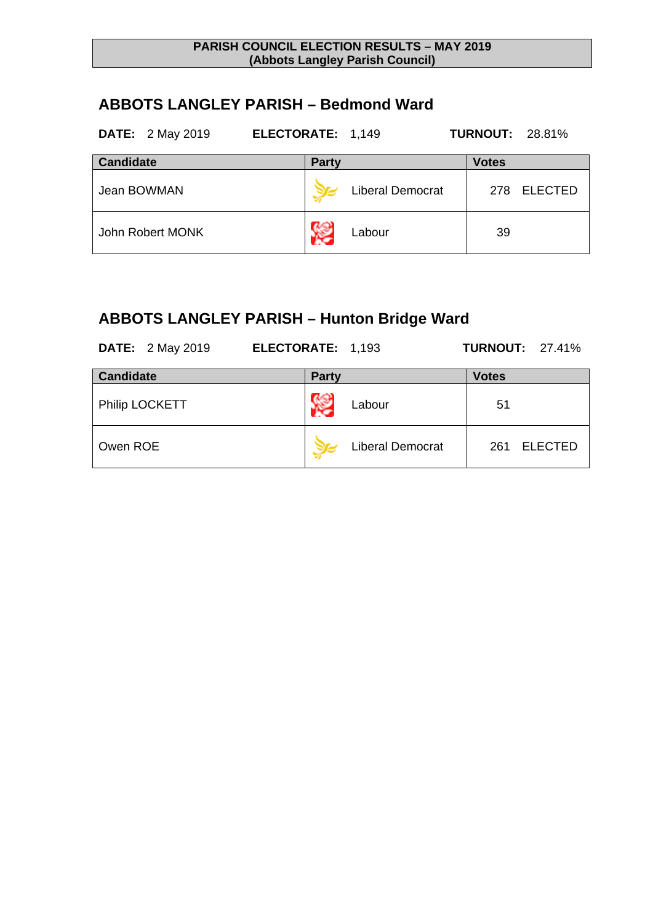### **ABBOTS LANGLEY PARISH – Bedmond Ward**

| <b>DATE:</b> 2 May 2019 | ELECTORATE: 1,149       | <b>TURNOUT: 28.81%</b> |
|-------------------------|-------------------------|------------------------|
| <b>Candidate</b>        | <b>Party</b>            | <b>Votes</b>           |
| Jean BOWMAN             | <b>Liberal Democrat</b> | <b>ELECTED</b><br>278  |
| John Robert MONK        | Labour                  | 39                     |

# **ABBOTS LANGLEY PARISH – Hunton Bridge Ward**

| <b>DATE:</b> 2 May 2019 | ELECTORATE: 1,193       | <b>TURNOUT: 27.41%</b> |
|-------------------------|-------------------------|------------------------|
| <b>Candidate</b>        | <b>Party</b>            | <b>Votes</b>           |
| Philip LOCKETT          | Labour                  | 51                     |
| Owen ROE                | <b>Liberal Democrat</b> | <b>ELECTED</b><br>261  |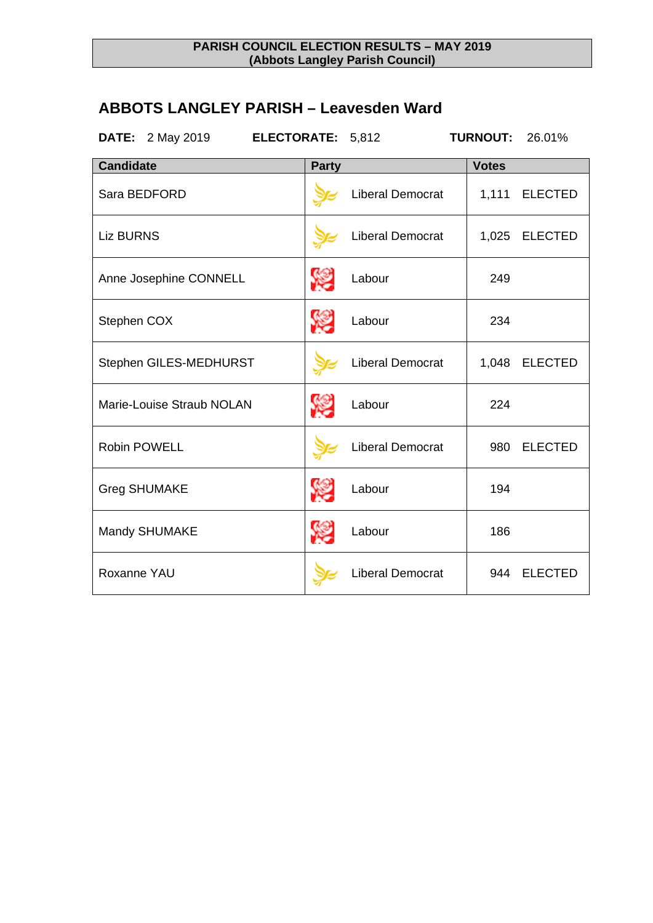### **ABBOTS LANGLEY PARISH – Leavesden Ward**

| <b>DATE:</b> 2 May 2019<br>ELECTORATE: 5,812 |              |                         | <b>TURNOUT:</b> | 26.01%         |
|----------------------------------------------|--------------|-------------------------|-----------------|----------------|
| <b>Candidate</b>                             | <b>Party</b> |                         | <b>Votes</b>    |                |
| Sara BEDFORD                                 |              | Liberal Democrat        | 1,111           | <b>ELECTED</b> |
| <b>Liz BURNS</b>                             |              | <b>Liberal Democrat</b> | 1,025           | <b>ELECTED</b> |
| Anne Josephine CONNELL                       | <b>SEP</b>   | Labour                  | 249             |                |
| Stephen COX                                  | <b>SEP</b>   | Labour                  | 234             |                |
| Stephen GILES-MEDHURST                       |              | <b>Liberal Democrat</b> | 1,048           | <b>ELECTED</b> |
| Marie-Louise Straub NOLAN                    |              | Labour                  | 224             |                |
| <b>Robin POWELL</b>                          |              | <b>Liberal Democrat</b> | 980             | <b>ELECTED</b> |
| <b>Greg SHUMAKE</b>                          | <b>SEP</b>   | Labour                  | 194             |                |
| Mandy SHUMAKE                                | <b>SEP</b>   | Labour                  | 186             |                |
| Roxanne YAU                                  |              | <b>Liberal Democrat</b> | 944             | <b>ELECTED</b> |
|                                              |              |                         |                 |                |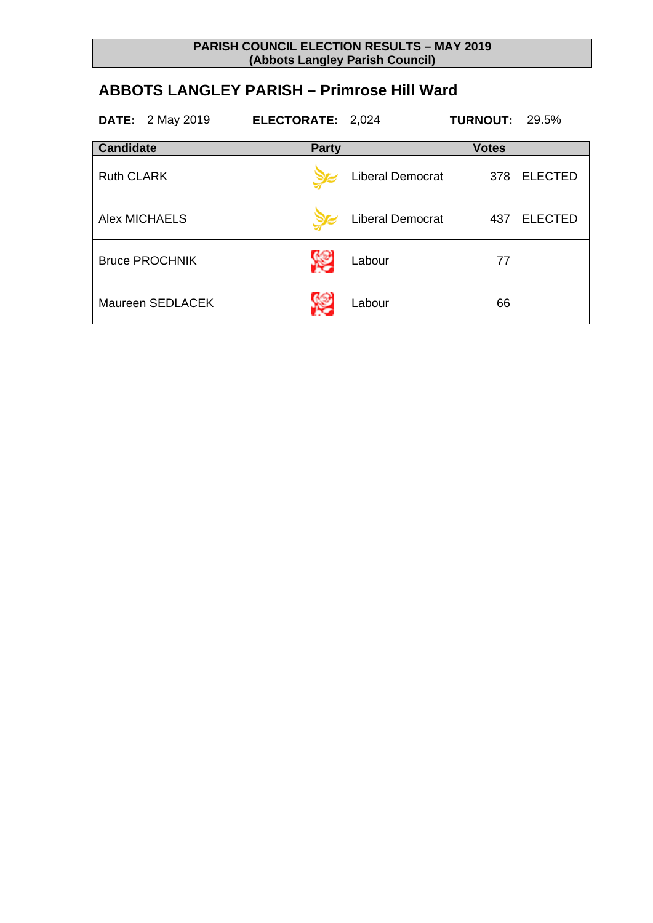### **ABBOTS LANGLEY PARISH – Primrose Hill Ward**

|                   | <b>DATE:</b> 2 May 2019 | ELECTORATE: 2,024 |                         | <b>TURNOUT: 29.5%</b> |                |
|-------------------|-------------------------|-------------------|-------------------------|-----------------------|----------------|
| <b>Candidate</b>  |                         | <b>Party</b>      |                         | <b>Votes</b>          |                |
| <b>Ruth CLARK</b> |                         |                   | <b>Liberal Democrat</b> | 378                   | <b>ELECTED</b> |
|                   | Alex MICHAELS           |                   | <b>Liberal Democrat</b> | 437                   | <b>ELECTED</b> |
|                   | <b>Bruce PROCHNIK</b>   |                   | Labour                  | 77                    |                |
|                   | Maureen SEDLACEK        |                   | Labour                  | 66                    |                |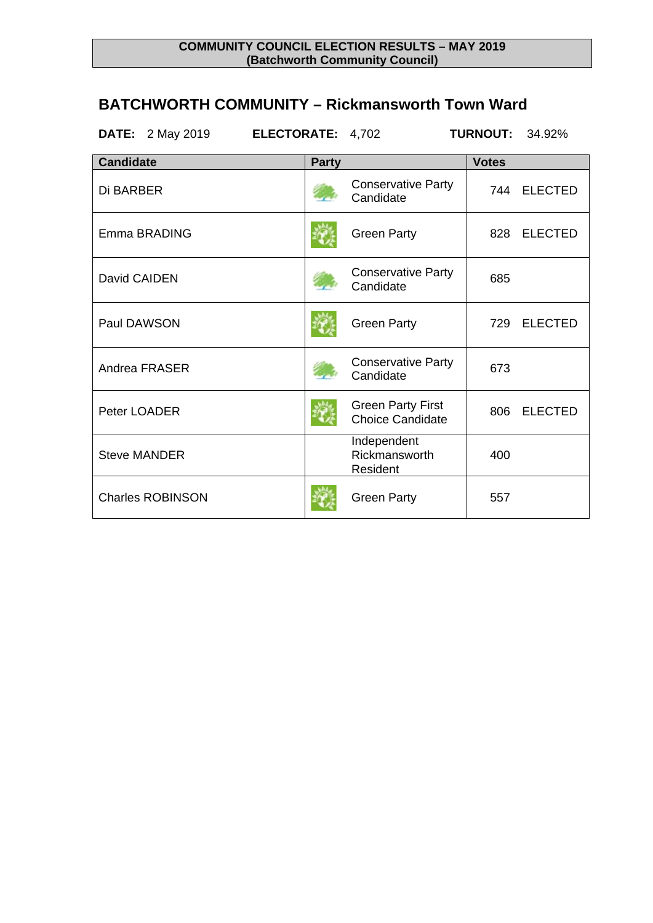### **COMMUNITY COUNCIL ELECTION RESULTS – MAY 2019 (Batchworth Community Council)**

### **BATCHWORTH COMMUNITY – Rickmansworth Town Ward**

| ELECTORATE: 4,702<br>DATE:<br>2 May 2019 |              |                                                     | <b>TURNOUT:</b> | 34.92%         |
|------------------------------------------|--------------|-----------------------------------------------------|-----------------|----------------|
| <b>Candidate</b>                         | <b>Party</b> |                                                     | <b>Votes</b>    |                |
| Di BARBER                                |              | <b>Conservative Party</b><br>Candidate              | 744             | <b>ELECTED</b> |
| Emma BRADING                             |              | <b>Green Party</b>                                  | 828             | <b>ELECTED</b> |
| David CAIDEN                             |              | <b>Conservative Party</b><br>Candidate              | 685             |                |
| Paul DAWSON                              |              | <b>Green Party</b>                                  | 729             | <b>ELECTED</b> |
| Andrea FRASER                            |              | <b>Conservative Party</b><br>Candidate              | 673             |                |
| Peter LOADER                             |              | <b>Green Party First</b><br><b>Choice Candidate</b> | 806             | <b>ELECTED</b> |
| <b>Steve MANDER</b>                      |              | Independent<br>Rickmansworth<br>Resident            | 400             |                |
| <b>Charles ROBINSON</b>                  |              | <b>Green Party</b>                                  | 557             |                |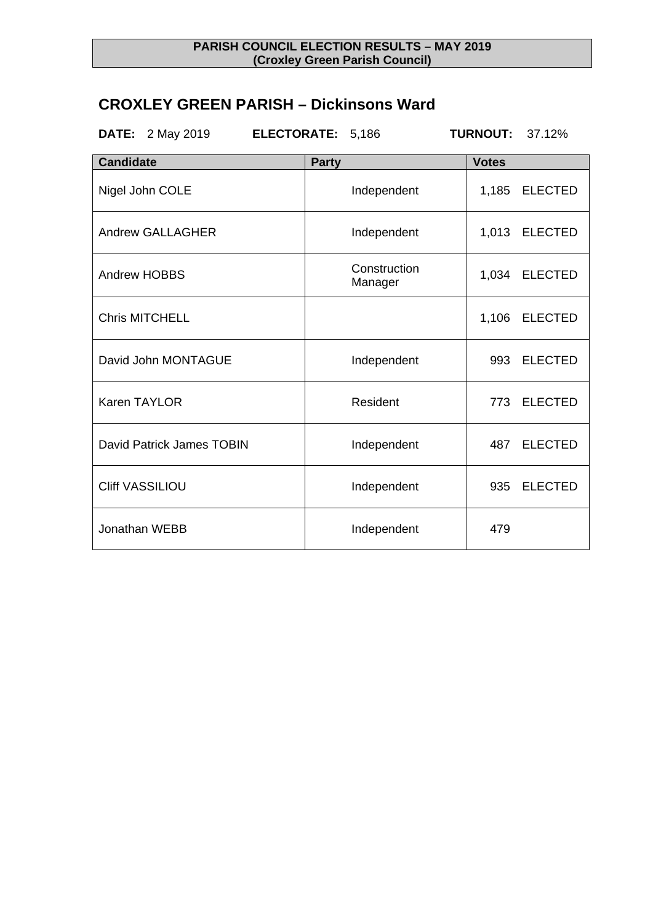### **PARISH COUNCIL ELECTION RESULTS – MAY 2019 (Croxley Green Parish Council)**

### **CROXLEY GREEN PARISH – Dickinsons Ward**

| 2 May 2019<br>DATE:       | ELECTORATE: 5,186       | <b>TURNOUT:</b><br>37.12% |
|---------------------------|-------------------------|---------------------------|
| <b>Candidate</b>          | <b>Party</b>            | <b>Votes</b>              |
| Nigel John COLE           | Independent             | 1,185<br><b>ELECTED</b>   |
| <b>Andrew GALLAGHER</b>   | Independent             | <b>ELECTED</b><br>1,013   |
| <b>Andrew HOBBS</b>       | Construction<br>Manager | 1,034<br><b>ELECTED</b>   |
| <b>Chris MITCHELL</b>     |                         | 1,106<br><b>ELECTED</b>   |
| David John MONTAGUE       | Independent             | 993<br><b>ELECTED</b>     |
| Karen TAYLOR              | Resident                | <b>ELECTED</b><br>773     |
| David Patrick James TOBIN | Independent             | <b>ELECTED</b><br>487     |
| <b>Cliff VASSILIOU</b>    | Independent             | <b>ELECTED</b><br>935     |
| Jonathan WEBB             | Independent             | 479                       |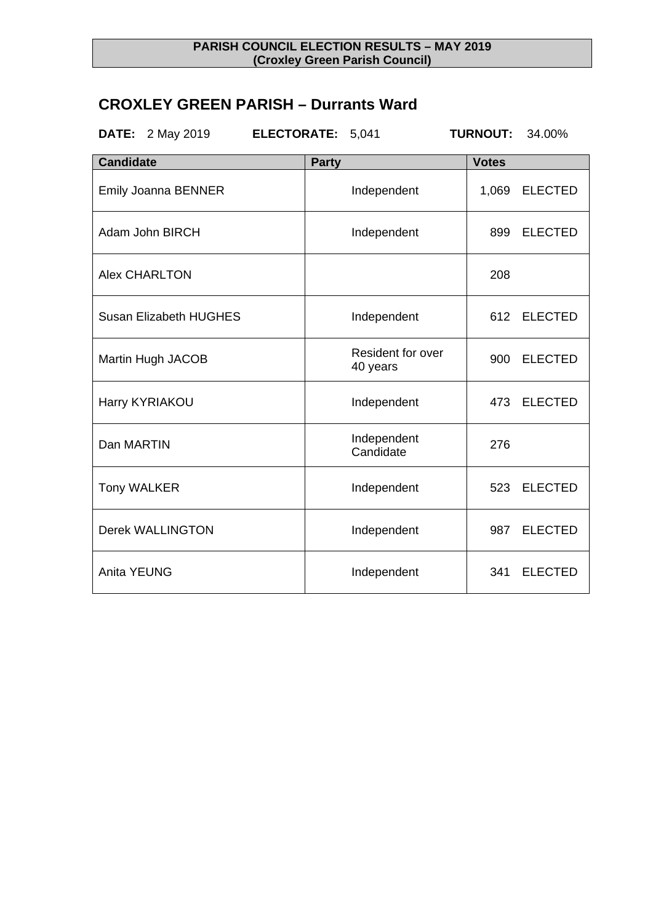#### **PARISH COUNCIL ELECTION RESULTS – MAY 2019 (Croxley Green Parish Council)**

### **CROXLEY GREEN PARISH – Durrants Ward**

| DATE:<br>2 May 2019<br><b>ELECTORATE:</b> | 5,041                         | <b>TURNOUT:</b><br>34.00% |
|-------------------------------------------|-------------------------------|---------------------------|
| <b>Candidate</b>                          | <b>Party</b>                  | <b>Votes</b>              |
| <b>Emily Joanna BENNER</b>                | Independent                   | 1,069<br><b>ELECTED</b>   |
| Adam John BIRCH                           | Independent                   | <b>ELECTED</b><br>899     |
| <b>Alex CHARLTON</b>                      |                               | 208                       |
| <b>Susan Elizabeth HUGHES</b>             | Independent                   | <b>ELECTED</b><br>612     |
| Martin Hugh JACOB                         | Resident for over<br>40 years | <b>ELECTED</b><br>900     |
| Harry KYRIAKOU                            | Independent                   | <b>ELECTED</b><br>473     |
| Dan MARTIN                                | Independent<br>Candidate      | 276                       |
| <b>Tony WALKER</b>                        | Independent                   | 523<br><b>ELECTED</b>     |
| <b>Derek WALLINGTON</b>                   | Independent                   | <b>ELECTED</b><br>987     |
| <b>Anita YEUNG</b>                        | Independent                   | <b>ELECTED</b><br>341     |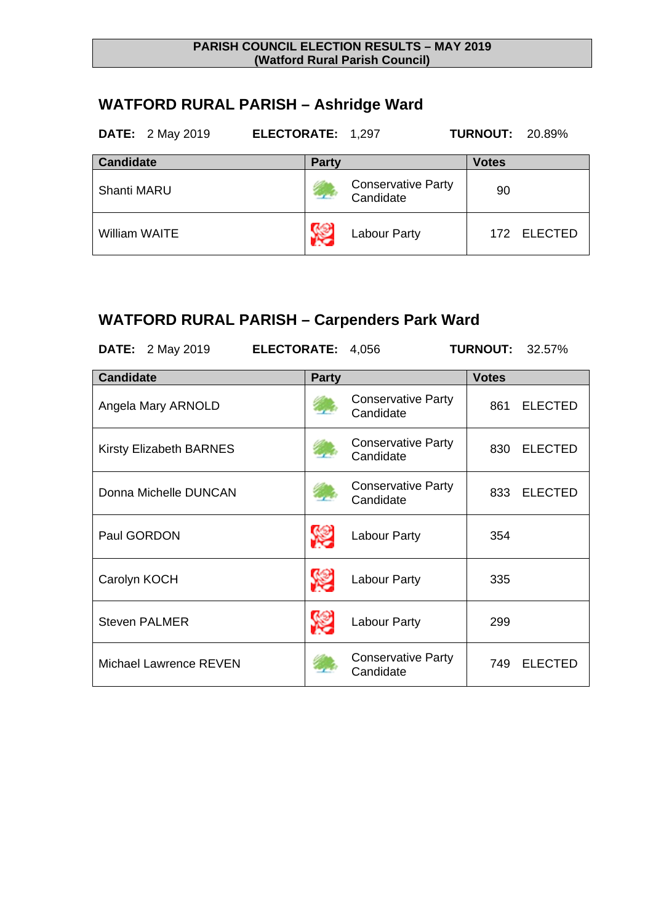#### **PARISH COUNCIL ELECTION RESULTS – MAY 2019 (Watford Rural Parish Council)**

# **WATFORD RURAL PARISH – Ashridge Ward**

| <b>DATE:</b> 2 May 2019 | ELECTORATE: 1,297 |                                        | <b>TURNOUT: 20.89%</b> |
|-------------------------|-------------------|----------------------------------------|------------------------|
| <b>Candidate</b>        | <b>Party</b>      |                                        | <b>Votes</b>           |
| <b>Shanti MARU</b>      |                   | <b>Conservative Party</b><br>Candidate | 90                     |
| <b>William WAITE</b>    |                   | <b>Labour Party</b>                    | 172 ELECTED            |

## **WATFORD RURAL PARISH – Carpenders Park Ward**

| <b>DATE:</b> 2 May 2019        | ELECTORATE: 4,056 |                                        | <b>TURNOUT:</b><br>32.57% |
|--------------------------------|-------------------|----------------------------------------|---------------------------|
| <b>Candidate</b>               | <b>Party</b>      |                                        | <b>Votes</b>              |
| Angela Mary ARNOLD             |                   | <b>Conservative Party</b><br>Candidate | <b>ELECTED</b><br>861     |
| <b>Kirsty Elizabeth BARNES</b> |                   | <b>Conservative Party</b><br>Candidate | <b>ELECTED</b><br>830     |
| Donna Michelle DUNCAN          |                   | <b>Conservative Party</b><br>Candidate | <b>ELECTED</b><br>833     |
| Paul GORDON                    |                   | Labour Party                           | 354                       |
| Carolyn KOCH                   |                   | Labour Party                           | 335                       |
| <b>Steven PALMER</b>           |                   | <b>Labour Party</b>                    | 299                       |
| Michael Lawrence REVEN         |                   | <b>Conservative Party</b><br>Candidate | <b>ELECTED</b><br>749     |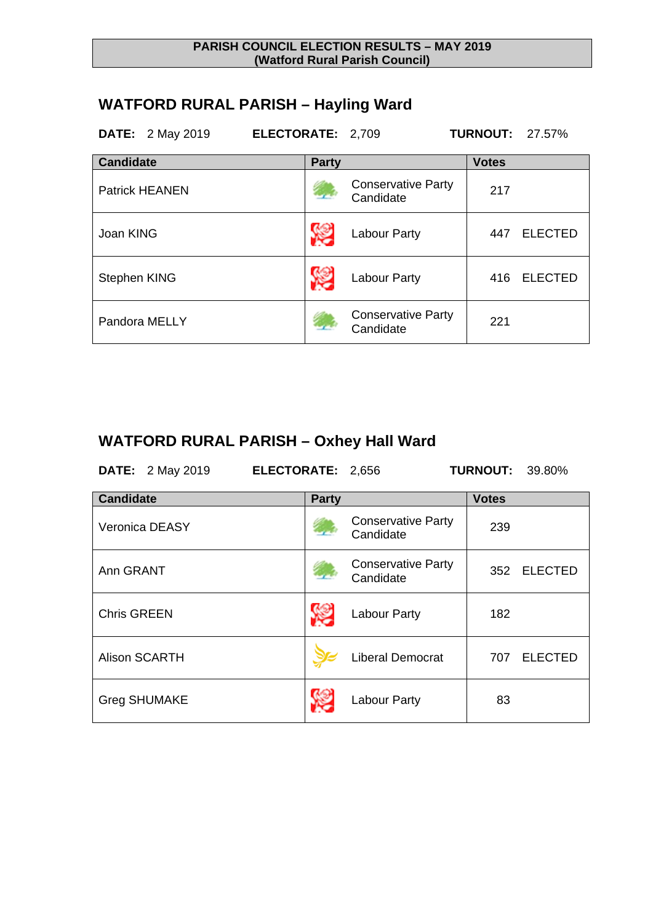#### **PARISH COUNCIL ELECTION RESULTS – MAY 2019 (Watford Rural Parish Council)**

## **WATFORD RURAL PARISH – Hayling Ward**

| <b>DATE:</b> 2 May 2019 | ELECTORATE: 2,709 |                                        | <b>TURNOUT: 27.57%</b> |                |
|-------------------------|-------------------|----------------------------------------|------------------------|----------------|
| <b>Candidate</b>        | <b>Party</b>      |                                        | <b>Votes</b>           |                |
| <b>Patrick HEANEN</b>   |                   | <b>Conservative Party</b><br>Candidate | 217                    |                |
| Joan KING               |                   | <b>Labour Party</b>                    | 447                    | <b>ELECTED</b> |
| Stephen KING            |                   | <b>Labour Party</b>                    | 416                    | <b>ELECTED</b> |
| Pandora MELLY           |                   | <b>Conservative Party</b><br>Candidate | 221                    |                |

# **WATFORD RURAL PARISH – Oxhey Hall Ward**

**DATE:** 2 May 2019 **ELECTORATE:** 2,656 **TURNOUT:** 39.80%

| <b>Candidate</b>     | <b>Party</b> |                                        | <b>Votes</b> |                |
|----------------------|--------------|----------------------------------------|--------------|----------------|
| Veronica DEASY       |              | <b>Conservative Party</b><br>Candidate | 239          |                |
| Ann GRANT            |              | <b>Conservative Party</b><br>Candidate | 352          | <b>ELECTED</b> |
| <b>Chris GREEN</b>   |              | <b>Labour Party</b>                    | 182          |                |
| <b>Alison SCARTH</b> |              | <b>Liberal Democrat</b>                | 707          | <b>ELECTED</b> |
| <b>Greg SHUMAKE</b>  |              | <b>Labour Party</b>                    | 83           |                |